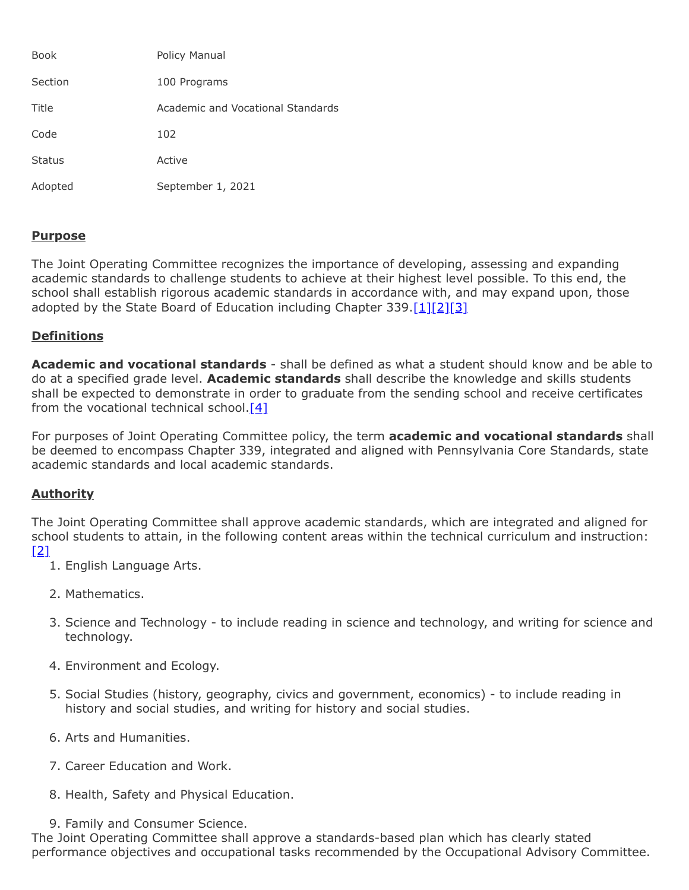| <b>Book</b>   | Policy Manual                     |
|---------------|-----------------------------------|
| Section       | 100 Programs                      |
| Title         | Academic and Vocational Standards |
| Code          | 102                               |
| <b>Status</b> | Active                            |
| Adopted       | September 1, 2021                 |

## **Purpose**

The Joint Operating Committee recognizes the importance of developing, assessing and expanding academic standards to challenge students to achieve at their highest level possible. To this end, the school shall establish rigorous academic standards in accordance with, and may expand upon, those adopted by the State Board of Education including Chapter 339.[\[1\]](http://pacodeandbulletin.gov/Display/pacode?file=/secure/pacode/data/022/chapter4/s4.11.html&d=reduce)[\[2\]](http://pacodeandbulletin.gov/Display/pacode?file=/secure/pacode/data/022/chapter4/s4.12.html&d=reduce)[\[3\]](http://pacodeandbulletin.gov/Display/pacode?file=/secure/pacode/data/022/chapter339/chap339toc.html&d=reduce)

## **Definitions**

**Academic and vocational standards** - shall be defined as what a student should know and be able to do at a specified grade level. **Academic standards** shall describe the knowledge and skills students shall be expected to demonstrate in order to graduate from the sending school and receive certificates from the vocational technical school. $[4]$ 

For purposes of Joint Operating Committee policy, the term **academic and vocational standards** shall be deemed to encompass Chapter 339, integrated and aligned with Pennsylvania Core Standards, state academic standards and local academic standards.

### **Authority**

The Joint Operating Committee shall approve academic standards, which are integrated and aligned for school students to attain, in the following content areas within the technical curriculum and instruction: [\[2\]](http://pacodeandbulletin.gov/Display/pacode?file=/secure/pacode/data/022/chapter4/s4.12.html&d=reduce)

- 1. English Language Arts.
- 2. Mathematics.
- 3. Science and Technology to include reading in science and technology, and writing for science and technology.
- 4. Environment and Ecology.
- 5. Social Studies (history, geography, civics and government, economics) to include reading in history and social studies, and writing for history and social studies.
- 6. Arts and Humanities.
- 7. Career Education and Work.
- 8. Health, Safety and Physical Education.
- 9. Family and Consumer Science.

The Joint Operating Committee shall approve a standards-based plan which has clearly stated performance objectives and occupational tasks recommended by the Occupational Advisory Committee.